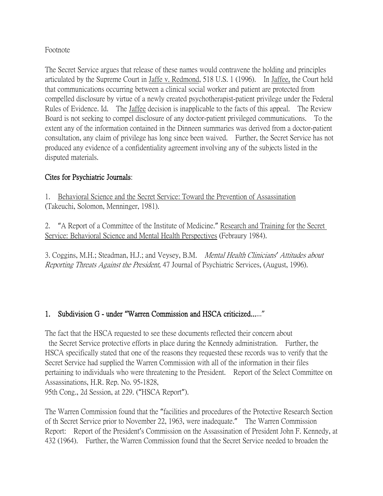## Footnote

The Secret Service argues that release of these names would contravene the holding and principles articulated by the Supreme Court in Jaffe v. Redmond, 518 U.S. 1 (1996). In Jaffee, the Court held that communications occurring between a clinical social worker and patient are protected from compelled disclosure by virtue of a newly created psychotherapist-patient privilege under the Federal Rules of Evidence. Id. The Jaffee decision is inapplicable to the facts of this appeal. The Review Board is not seeking to compel disclosure of any doctor-patient privileged communications. To the extent any of the information contained in the Dinneen summaries was derived from a doctor-patient consultation, any claim of privilege has long since been waived. Further, the Secret Service has not produced any evidence of a confidentiality agreement involving any of the subjects listed in the disputed materials.

## Cites for Psychiatric Journals:

1. Behavioral Science and the Secret Service: Toward the Prevention of Assassination (Takeuchi, Solomon, Menninger, 1981).

2. "A Report of a Committee of the Institute of Medicine." Research and Training for the Secret Service: Behavioral Science and Mental Health Perspectives (Febraury 1984).

3. Coggins, M.H.; Steadman, H.J.; and Veysey, B.M. Mental Health Clinicians*'* Attitudes about Reporting Threats Against the President, 47 Journal of Psychiatric Services, (August, 1996).

## 1. Subdivision G - under **"**Warren Commission and HSCA criticized......"

The fact that the HSCA requested to see these documents reflected their concern about the Secret Service protective efforts in place during the Kennedy administration. Further, the HSCA specifically stated that one of the reasons they requested these records was to verify that the Secret Service had supplied the Warren Commission with all of the information in their files pertaining to individuals who were threatening to the President. Report of the Select Committee on Assassinations, H.R. Rep. No. 95-1828, 95th Cong., 2d Session, at 229. ("HSCA Report").

The Warren Commission found that the "facilities and procedures of the Protective Research Section of th Secret Service prior to November 22, 1963, were inadequate." The Warren Commission Report: Report of the President's Commission on the Assassination of President John F. Kennedy, at 432 (1964). Further, the Warren Commission found that the Secret Service needed to broaden the